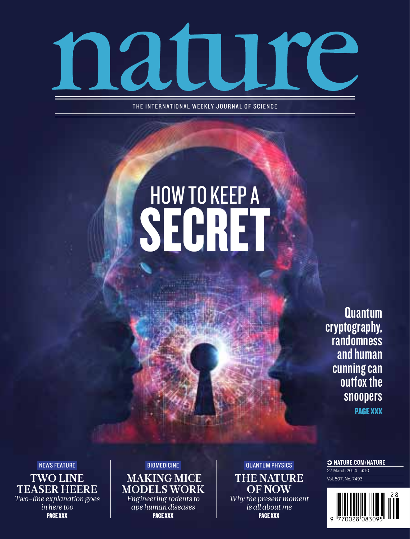# rature

THE INTERNATIONAL WEEKLY JOURNAL OF SCIENCE

## HOW TO KEEP A SECRET

Quantum cryptography, **randomness** and human cunning can outfox the snoopers

Page XXX

news feature

**Two line teaser heere** *Two-line explanation goes in here too* page XXX

**BIOMEDICINE** 

 **MAKING mice models WORK** *Engineering rodents to ape human diseases* page XXX

quantum physics **the nature of now** *Why the present moment is all about me* page XXX

 $\bigcirc$  nature.com/nature 27 March 2014 £10 Vol. 507, No. 7493

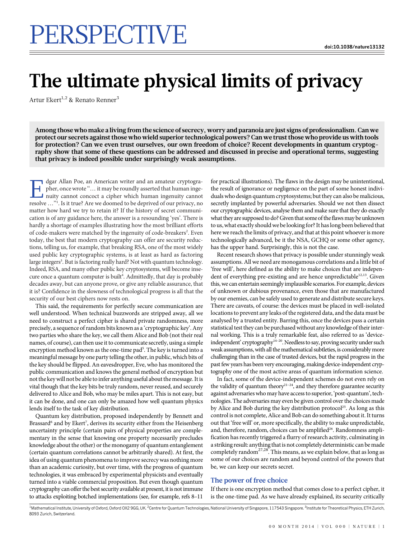## PERSPECTIVE

## The ultimate physical limits of privacy

Artur Ekert<sup>1,2</sup> & Renato Renner<sup>3</sup>

Among those who make a living from the science of secrecy, worry and paranoia are just signs of professionalism. Can we protect our secrets against those who wield superior technological powers? Can we trust those who provide us with tools for protection? Can we even trust ourselves, our own freedom of choice? Recent developments in quantum cryptography show that some of these questions can be addressed and discussed in precise and operational terms, suggesting that privacy is indeed possible under surprisingly weak assumptions.

**Example 3** dgar Allan Poe, an American writer and an amateur cryptographer, once wrote "... it may be roundly asserted that human ingenuity cannot concoct a cipher which human ingenuity cannot resolve  $\frac{1}{2}$  I is it tr pher, once wrote ''… it may be roundly asserted that human inge-I nuity cannot concoct a cipher which human ingenuity cannot resolve …''1 . Is it true? Are we doomed to be deprived of our privacy, no matter how hard we try to retain it? If the history of secret communication is of any guidance here, the answer is a resounding 'yes'. There is hardly a shortage of examples illustrating how the most brilliant efforts of code-makers were matched by the ingenuity of code-breakers<sup>2</sup>. Even today, the best that modern cryptography can offer are security reductions, telling us, for example, that breaking RSA, one of the most widely used public key cryptographic systems, is at least as hard as factoring large integers<sup>3</sup>. But is factoring really hard? Not with quantum technology. Indeed, RSA, and many other public key cryptosystems, will become insecure once a quantum computer is built<sup>4</sup>. Admittedly, that day is probably decades away, but can anyone prove, or give any reliable assurance, that it is? Confidence in the slowness of technological progress is all that the security of our best ciphers now rests on.

This said, the requirements for perfectly secure communication are well understood. When technical buzzwords are stripped away, all we need to construct a perfect cipher is shared private randomness, more precisely, a sequence of random bits known as a 'cryptographic key'. Any two parties who share the key, we call them Alice and Bob (not their real names, of course), can then use it to communicate secretly, using a simple encryption method known as the one-time pad<sup>5</sup>. The key is turned into a meaningful message by one party telling the other, in public, which bits of the key should be flipped. An eavesdropper, Eve, who has monitored the public communication and knows the general method of encryption but not the key will not be able to infer anything useful about the message. It is vital though that the key bits be truly random, never reused, and securely delivered to Alice and Bob, who may be miles apart. This is not easy, but it can be done, and one can only be amazed how well quantum physics lends itself to the task of key distribution.

Quantum key distribution, proposed independently by Bennett and Brassard<sup>6</sup> and by Ekert<sup>7</sup>, derives its security either from the Heisenberg uncertainty principle (certain pairs of physical properties are complementary in the sense that knowing one property necessarily precludes knowledge about the other) or the monogamy of quantum entanglement (certain quantum correlations cannot be arbitrarily shared). At first, the idea of using quantum phenomena to improve secrecy was nothing more than an academic curiosity, but over time, with the progress of quantum technologies, it was embraced by experimental physicists and eventually turned into a viable commercial proposition. But even though quantum cryptography can offer the best security available at present, it is not immune to attacks exploiting botched implementations (see, for example, refs 8–11

for practical illustrations). The flaws in the design may be unintentional, the result of ignorance or negligence on the part of some honest individuals who design quantum cryptosystems; but they can also be malicious, secretly implanted by powerful adversaries. Should we not then dissect our cryptographic devices, analyse them and make sure that they do exactly what they are supposed to do? Given that some of the flaws may be unknown to us, what exactly should we be looking for? It has long been believed that here we reach the limits of privacy, and that at this point whoever is more technologically advanced, be it the NSA, GCHQ or some other agency, has the upper hand. Surprisingly, this is not the case.

Recent research shows that privacy is possible under stunningly weak assumptions. All we need are monogamous correlations and a little bit of 'free will', here defined as the ability to make choices that are independent of everything pre-existing and are hence unpredictable<sup>12,13</sup>. Given this, we can entertain seemingly implausible scenarios. For example, devices of unknown or dubious provenance, even those that are manufactured by our enemies, can be safely used to generate and distribute secure keys. There are caveats, of course: the devices must be placed in well-isolated locations to prevent any leaks of the registered data, and the data must be analysed by a trusted entity. Barring this, once the devices pass a certain statistical test they can be purchased without any knowledge of their internal working. This is a truly remarkable feat, also referred to as 'deviceindependent' cryptography<sup>14–20</sup>. Needless to say, proving security under such weak assumptions, with all the mathematical subtleties, is considerably more challenging than in the case of trusted devices, but the rapid progress in the past few years has been very encouraging, making device-independent cryptography one of the most active areas of quantum information science.

In fact, some of the device-independent schemes do not even rely on the validity of quantum theory<sup>21–24</sup>, and they therefore guarantee security against adversaries who may have access to superior, 'post-quantum', technologies. The adversaries may even be given control over the choices made by Alice and Bob during the key distribution protocol<sup>25</sup>. As long as this control is not complete, Alice and Bob can do something about it. It turns out that 'free will' or, more specifically, the ability to make unpredictable, and, therefore, random, choices can be amplified<sup>26</sup>. Randomness amplification has recently triggered a flurry of research activity, culminating in a striking result: anything that is not completely deterministic can be made completely random<sup>27,28</sup>. This means, as we explain below, that as long as some of our choices are random and beyond control of the powers that be, we can keep our secrets secret.

#### The power of free choice

If there is one encryption method that comes close to a perfect cipher, it is the one-time pad. As we have already explained, its security critically

<sup>1</sup>Mathematical Institute, University of Oxford, Oxford OX2 9GG, UK. <sup>2</sup>Centre for Quantum Technologies, National University of Singapore, 117543 Singapore. <sup>3</sup>Institute for Theoretical Physics, ETH Zurich, 8093 Zurich, Switzerland.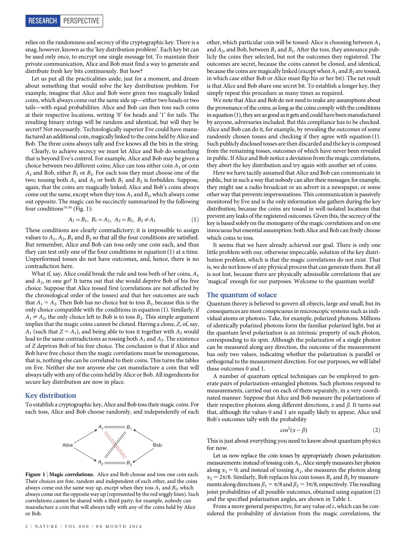relies on the randomness and secrecy of the cryptographic key. There is a snag, however, known as the 'key distribution problem'. Each key bit can be used only once, to encrypt one single message bit. To maintain their private communication, Alice and Bob must find a way to generate and distribute fresh key bits continuously. But how?

Let us put all the practicalities aside, just for a moment, and dream about something that would solve the key distribution problem. For example, imagine that Alice and Bob were given two magically linked coins, which always come out the same side up—either two heads or two tails—with equal probabilities. Alice and Bob can then toss such coins at their respective locations, writing '0' for heads and '1' for tails. The resulting binary strings will be random and identical, but will they be secret? Not necessarily. Technologically superior Eve could have manufactured an additional coin, magically linked to the coins held by Alice and Bob. The three coins always tally and Eve knows all the bits in the string.

Clearly, to achieve secrecy we must let Alice and Bob do something that is beyond Eve's control. For example, Alice and Bob may be given a choice between two different coins; Alice can toss either coin  $A_1$  or coin  $A_2$  and Bob, either  $B_1$  or  $B_2$ . For each toss they must choose one of the two; tossing both  $A_1$  and  $A_2$  or both  $B_1$  and  $B_2$  is forbidden. Suppose, again, that the coins are magically linked; Alice and Bob's coins always come out the same, except when they toss  $A_1$  and  $B_2$ , which always come out opposite. The magic can be succinctly summarized by the following four conditions<sup>29,30</sup> (Fig. 1):

$$
A_1 = B_1, B_1 = A_2, A_2 = B_2, B_2 \neq A_1
$$
 (1)

These conditions are clearly contradictory; it is impossible to assign values to  $A_1$ ,  $A_2$ ,  $B_1$  and  $B_2$  so that all the four conditions are satisfied. But remember, Alice and Bob can toss only one coin each, and thus they can test only one of the four conditions in equation (1) at a time. Unperformed tosses do not have outcomes, and, hence, there is no contradiction here.

What if, say, Alice could break the rule and toss both of her coins,  $A_1$ and  $A_2$ , in one go? It turns out that she would deprive Bob of his free choice. Suppose that Alice tossed first (correlations are not affected by the chronological order of the tosses) and that her outcomes are such that  $A_1 = A_2$ . Then Bob has no choice but to toss  $B_1$ , because this is the only choice compatible with the conditions in equation (1). Similarly, if  $A_1 \neq A_2$ , the only choice left to Bob is to toss  $B_2$ . This simple argument implies that the magic coins cannot be cloned. Having a clone, Z, of, say,  $A_1$  (such that  $Z = A_1$ ), and being able to toss it together with  $A_2$  would lead to the same contradictions as tossing both  $A_1$  and  $A_2$ . The existence of Z deprives Bob of his free choice. The conclusion is that if Alice and Bob have free choice then the magic correlations must be monogamous, that is, nothing else can be correlated to their coins. This turns the tables on Eve. Neither she nor anyone else can manufacture a coin that will always tally with any of the coins held by Alice or Bob. All ingredients for secure key distribution are now in place.

#### Key distribution

To establish a cryptographic key, Alice and Bob toss their magic coins. For each toss, Alice and Bob choose randomly, and independently of each



Figure 1 | Magic correlations. Alice and Bob choose and toss one coin each. Their choices are free, random and independent of each other, and the coins always come out the same way up, except when they toss  $A_1$  and  $B_2$ , which always come out the opposite way up (represented by the red wiggly lines). Such correlations cannot be shared with a third party; for example, nobody can manufacture a coin that will always tally with any of the coins held by Alice or Bob.

other, which particular coin will be tossed: Alice is choosing between  $A_1$ and  $A_2$ , and Bob, between  $B_1$  and  $B_2$ . After the toss, they announce publicly the coins they selected, but not the outcomes they registered. The outcomes are secret, because the coins cannot be cloned, and identical, because the coins are magically linked (except when  $A_1$  and  $B_2$  are tossed, in which case either Bob or Alice must flip his or her bit). The net result is that Alice and Bob share one secret bit. To establish a longer key, they simply repeat this procedure as many times as required.

We note that Alice and Bob do not need to make any assumptions about the provenance of the coins; as long as the coins comply with the conditions in equation (1), they are as good as it gets and could have been manufactured by anyone, adversaries included. But this compliance has to be checked. Alice and Bob can do it, for example, by revealing the outcomes of some randomly chosen tosses and checking if they agree with equation (1). Such publicly disclosed tosses are then discarded and the key is composed from the remaining tosses, outcomes of which have never been revealed in public. If Alice and Bob notice a deviation from the magic correlations, they abort the key distribution and try again with another set of coins.

Here we have tacitly assumed that Alice and Bob can communicate in public, but in such a way that nobody can alter their messages; for example, they might use a radio broadcast or an advert in a newspaper, or some other way that prevents impersonations. This communication is passively monitored by Eve and is the only information she gathers during the key distribution, because the coins are tossed in well-isolated locations that prevent any leaks of the registered outcomes. Given this, the secrecy of the key is based solely on the monogamy of the magic correlations and on one innocuous but essential assumption: both Alice and Bob can freely choose which coins to toss.

It seems that we have already achieved our goal. There is only one little problem with our, otherwise impeccable, solution of the key distribution problem, which is that the magic correlations do not exist. That is, we do not know of any physical process that can generate them. But all is not lost, because there are physically admissible correlations that are 'magical' enough for our purposes. Welcome to the quantum world!

#### The quantum of solace

Quantum theory is believed to govern all objects, large and small, but its consequences are most conspicuous in microscopic systems such as individual atoms or photons. Take, for example, polarized photons. Millions of identically polarized photons form the familiar polarized light, but at the quantum level polarization is an intrinsic property of each photon, corresponding to its spin. Although the polarization of a single photon can be measured along any direction, the outcome of the measurement has only two values, indicating whether the polarization is parallel or orthogonal to the measurement direction. For our purposes, we will label these outcomes 0 and 1.

A number of quantum optical techniques can be employed to generate pairs of polarization-entangled photons. Such photons respond to measurements, carried out on each of them separately, in a very coordinated manner. Suppose that Alice and Bob measure the polarizations of their respective photons along different directions,  $\alpha$  and  $\beta$ . It turns out that, although the values 0 and 1 are equally likely to appear, Alice and Bob's outcomes tally with the probability

$$
\cos^2(\alpha - \beta) \tag{2}
$$

This is just about everything you need to know about quantum physics for now.

Let us now replace the coin tosses by appropriately chosen polarization measurements: instead of tossing  $\cosh A_1$ , Alice simply measures her photon along  $\alpha_1 = 0$ ; and instead of tossing  $A_2$ , she measures the photon along  $\alpha_2 = 2\pi/8$ . Similarly, Bob replaces his coin tosses  $B_1$  and  $B_2$  by measurements along directions  $\beta_1 = \pi/8$  and  $\beta_2 = 3\pi/8$ , respectively. The resulting joint probabilities of all possible outcomes, obtained using equation (2) and the specified polarization angles, are shown in Table 1.

From a more general perspective, for any value of  $\varepsilon$ , which can be considered the probability of deviation from the magic correlations, the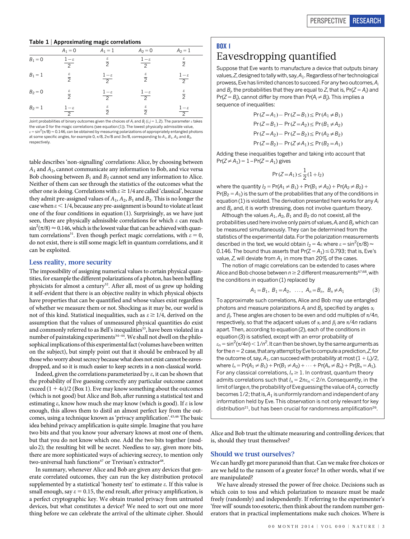#### Table 1 <sup>|</sup> Approximating magic correlations

|           | $A_1 = 0$                         | $A_1 = 1$                         | $A_2 = 0$                         | $A_2 = 1$                         |
|-----------|-----------------------------------|-----------------------------------|-----------------------------------|-----------------------------------|
| $B_1 = 0$ | $1-\varepsilon$<br>$\overline{2}$ | $rac{\varepsilon}{2}$             | $1-\varepsilon$<br>$\overline{2}$ | $rac{\varepsilon}{2}$             |
| $B_1 = 1$ | $rac{\varepsilon}{2}$             | $\frac{1-\varepsilon}{2}$         | $rac{\varepsilon}{2}$             | $1-\varepsilon$<br>$\overline{2}$ |
| $B_2 = 0$ | ε<br>$\overline{2}$               | $1-\varepsilon$<br>$\overline{2}$ | $1-\varepsilon$<br>$\overline{2}$ | $rac{\varepsilon}{2}$             |
| $B_2 = 1$ | $1-\varepsilon$<br>$\overline{2}$ | $rac{\varepsilon}{2}$             | $rac{\varepsilon}{2}$             | $1-\varepsilon$<br>$\overline{2}$ |

Joint probabilities of binary outcomes given the choices of  $A_i$  and  $B_i$  (i,  $j = 1, 2$ ). The parameter  $\varepsilon$  takes the value 0 for the magic correlations (see equation (1)). The lowest physically admissible value,  $\varepsilon = \sin^2(\pi/8) \approx 0.146$ , can be obtained by measuring polarizations of appropriately entangled photons at some specific angles, for example 0,  $\pi/8$ ,  $2\pi/8$  and  $3\pi/8$ , corresponding to  $A_1, B_1, A_2$  and  $B_2$ , respectively.

table describes 'non-signalling' correlations: Alice, by choosing between  $A_1$  and  $A_2$ , cannot communicate any information to Bob, and vice versa Bob choosing between  $B_1$  and  $B_2$  cannot send any information to Alice. Neither of them can see through the statistics of the outcomes what the other one is doing. Correlations with  $\varepsilon \geq 1/4$  are called 'classical', because they admit pre-assigned values of  $A_1$ ,  $A_2$ ,  $B_1$  and  $B_2$ . This is no longer the case when  $\varepsilon$  < 1/4, because any pre-assignment is bound to violate at least one of the four conditions in equation (1). Surprisingly, as we have just seen, there are physically admissible correlations for which  $\varepsilon$  can reach  $\sin^2(\pi/8) \approx 0.146$ , which is the lowest value that can be achieved with quantum correlations<sup>31</sup>. Even though perfect magic correlations, with  $\varepsilon = 0$ , do not exist, there is still some magic left in quantum correlations, and it can be exploited.

#### Less reality, more security

The impossibility of assigning numerical values to certain physical quantities, for example the different polarizations of a photon, has been baffling physicists for almost a century<sup>32</sup>. After all, most of us grew up holding it self-evident that there is an objective reality in which physical objects have properties that can be quantified and whose values exist regardless of whether we measure them or not. Shocking as it may be, our world is not of this kind. Statistical inequalities, such as  $\varepsilon \ge 1/4$ , derived on the assumption that the values of unmeasured physical quantities do exist and commonly referred to as Bell's inequalities<sup>33</sup>, have been violated in a number of painstaking experiments<sup>34-44</sup>. We shall not dwell on the philosophical implications of this experimental fact (volumes have been written on the subject), but simply point out that it should be embraced by all those who worry about secrecy because what does not exist cannot be eavesdropped, and so it is much easier to keep secrets in a non-classical world.

Indeed, given the correlations parameterized by  $\varepsilon$ , it can be shown that the probability of Eve guessing correctly any particular outcome cannot exceed  $(1 + 4\varepsilon)/2$  (Box 1). Eve may know something about the outcomes (which is not good) but Alice and Bob, after running a statistical test and estimating  $\varepsilon$ , know how much she may know (which is good). If  $\varepsilon$  is low enough, this allows them to distil an almost perfect key from the outcomes, using a technique known as 'privacy amplification'.45,46 The basic idea behind privacy amplification is quite simple. Imagine that you have two bits and that you know your adversary knows at most one of them, but that you do not know which one. Add the two bits together (modulo 2); the resulting bit will be secret. Needless to say, given more bits, there are more sophisticated ways of achieving secrecy, to mention only two-universal hash functions<sup>47</sup> or Trevisan's extractor<sup>48</sup>.

In summary, whenever Alice and Bob are given any devices that generate correlated outcomes, they can run the key distribution protocol supplemented by a statistical 'honesty test' to estimate  $\varepsilon$ . If this value is small enough, say  $\varepsilon = 0.15$ , the end result, after privacy amplification, is a perfect cryptographic key. We obtain trusted privacy from untrusted devices, but what constitutes a device? We need to sort out one more thing before we can celebrate the arrival of the ultimate cipher. Should

#### BOX 1 Eavesdropping quantified

Suppose that Eve wants to manufacture a device that outputs binary values,  $Z$ , designed to tally with, say,  $A_1$ . Regardless of her technological prowess, Eve has limited chances to succeed. For any two outcomes,  $A_i$ and  $B_{j}$ , the probabilities that they are equal to Z, that is, Pr(Z = A $_{i}$ ) and Pr(Z = B<sub>j</sub>), cannot differ by more than Pr(A<sub>i</sub>  $\neq$  B<sub>j</sub>). This implies a sequence of inequalities:

$$
Pr(Z = A_1) - Pr(Z = B_1) \le Pr(A_1 \neq B_1)
$$
  
\n
$$
Pr(Z = B_1) - Pr(Z = A_2) \le Pr(B_1 \neq A_2)
$$
  
\n
$$
Pr(Z = A_2) - Pr(Z = B_2) \le Pr(A_2 \neq B_2)
$$
  
\n
$$
Pr(Z = B_2) - Pr(Z \neq A_1) \le Pr(B_2 = A_1)
$$

Adding these inequalities together and taking into account that  $Pr(Z \neq A_1) = 1 - Pr(Z = A_1)$  gives

$$
Pr(Z = A_1) \le \frac{1}{2}(1 + l_2)
$$

where the quantity  $I_2 = Pr(A_1 \neq B_1) + Pr(B_1 \neq A_2) + Pr(A_2 \neq B_2) +$  $Pr(B_2 = A_1)$  is the sum of the probabilities that any of the conditions in equation (1) is violated. The derivation presented here works for any  $A_i$ and  $B_{j}$ , and, it is worth stressing, does not involve quantum theory.

Although the values  $A_1$ ,  $A_2$ ,  $B_1$  and  $B_2$  do not coexist, all the probabilities used here involve only pairs of values,  $A_i$  and  $B_j$ , which can be measured simultaneously. They can be determined from the statistics of the experimental data. For the polarization measurements described in the text, we would obtain  $I_2 = 4\varepsilon$  where  $\varepsilon = \sin^2(\pi/8) \approx$ 0.146. The bound thus asserts that  $Pr(Z = A_1) \le 0.793$ ; that is, Eve's value, Z, will deviate from  $A_1$  in more than 20% of the cases.

The notion of magic correlations can be extended to cases where Alice and Bob choose between  $n \geq 2$  different measurements<sup>67,68</sup>, with the conditions in equation (1) replaced by

$$
A_1 = B_1, B_1 = A_2, \ldots, A_n = B_n, B_n \neq A_1
$$
 (3)

To approximate such correlations, Alice and Bob may use entangled photons and measure polarizations  $A_i$  and  $B_j$ , specified by angles  $\alpha_i$ and  $\beta_j$ . These angles are chosen to be even and odd multiples of  $\pi/4n$ , respectively, so that the adjacent values of  $\alpha_i$  and  $\beta_i$  are  $\pi/4n$  radians apart. Then, according to equation (2), each of the conditions in equation (3) is satisfied, except with an error probability of  $\varepsilon_n = \sin^2(\pi/4n) < 1/n^2$ . It can then be shown, by the same arguments as for the  $n = 2$  case, that any attempt by Eve to compute a prediction, Z, for the outcome of, say,  $A_1$ , can succeed with probability at most  $(1 + I_n)/2$ , where  $I_n = Pr(A_1 \neq B_1) + Pr(B_1 \neq A_2) + \cdots + Pr(A_n \neq B_n) + Pr(B_n = A_1).$ For any classical correlations,  $I_n \ge 1$ . In contrast, quantum theory admits correlations such that  $I_n = 2n\varepsilon_n < 2/n$ . Consequently, in the limit of large n, the probability of Eve guessing the value of  $A_1$  correctly becomes  $1/2$ ; that is,  $A_1$  is uniformly random and independent of any information held by Eve. This observation is not only relevant for key distribution<sup>21</sup>, but has been crucial for randomness amplification<sup>26</sup>.

Alice and Bob trust the ultimate measuring and controlling devices; that is, should they trust themselves?

#### Should we trust ourselves?

We can hardly get more paranoid than that. Can we make free choices or are we held to the ransom of a greater force? In other words, what if we are manipulated?

We have already stressed the power of free choice. Decisions such as which coin to toss and which polarization to measure must be made freely (randomly) and independently. If referring to the experimenter's 'free will' sounds too esoteric, then think about the random number generators that in practical implementations make such choices. Where is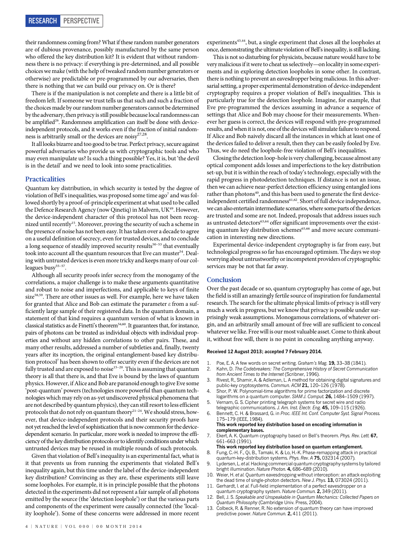their randomness coming from? What if these random number generators are of dubious provenance, possibly manufactured by the same person who offered the key distribution kit? It is evident that without randomness there is no privacy: if everything is pre-determined, and all possible choices we make (with the help of tweaked random number generators or otherwise) are predictable or pre-programmed by our adversaries, then there is nothing that we can build our privacy on. Or is there?

There is if the manipulation is not complete and there is a little bit of freedom left. If someone we trust tells us that such and such a fraction of the choices made by our random number generators cannot be determined by the adversary, then privacy is still possible because local randomness can be amplified<sup>26</sup>. Randomness amplification can itself be done with deviceindependent protocols, and it works even if the fraction of initial randomness is arbitrarily small or the devices are noisy<sup>27,28</sup>.

It all looks bizarre and too good to be true. Perfect privacy, secure against powerful adversaries who provide us with cryptographic tools and who may even manipulate us? Is such a thing possible? Yes, it is, but 'the devil is in the detail' and we need to look into some practicalities.

#### **Practicalities**

Quantum key distribution, in which security is tested by the degree of violation of Bell's inequalities, was proposed some time ago<sup>7</sup> and was followed shortly by a proof-of-principle experiment at what used to be called the Defence Research Agency (now Qinetiq) in Malvern, UK<sup>49</sup>. However, the device-independent character of this protocol has not been recognized until recently<sup>15</sup>. Moreover, proving the security of such a scheme in the presence of noise has not been easy. It has taken over a decade to agree on a useful definition of secrecy, even for trusted devices, and to conclude a long sequence of steadily improved security results $50-53$  that eventually took into account all the quantum resources that Eve can muster<sup>54</sup>. Dealing with untrusted devices is even more tricky and keeps many of our colleagues busy<sup>55-57</sup>.

Although all security proofs infer secrecy from the monogamy of the correlations, a major challenge is to make these arguments quantitative and robust to noise and imperfections, and applicable to keys of finite size<sup>58,59</sup>. There are other issues as well. For example, here we have taken for granted that Alice and Bob can estimate the parameter  $\varepsilon$  from a sufficiently large sample of their registered data. In the quantum domain, a statement of that kind requires a quantum version of what is known in classical statistics as de Finetti's theorem<sup>54,60</sup>. It guarantees that, for instance, pairs of photons can be treated as individual objects with individual properties and without any hidden correlations to other pairs. These, and many other results, addressed a number of subtleties and, finally, twenty years after its inception, the original entanglement-based key distribution protocol7 has been shown to offer security even if the devices are not fully trusted and are exposed to noise<sup>15-20</sup>. This is assuming that quantum theory is all that there is, and that Eve is bound by the laws of quantum physics. However, if Alice and Bob are paranoid enough to give Eve some 'post-quantum' powers (technologies more powerful than quantum technologies which may rely on as-yet undiscovered physical phenomena that are not described by quantum physics), they can still resort to less efficient protocols that do not rely on quantum theory<sup>21-24</sup>. We should stress, however, that device-independent protocols and their security proofs have not yet reached the level of sophistication that is now common for the devicedependent scenario. In particular, more work is needed to improve the efficiency of the key distribution protocols or to identify conditions under which untrusted devices may be reused in multiple rounds of such protocols.

Given that violation of Bell's inequality is an experimental fact, what is it that prevents us from running the experiments that violated Bell's inequality again, but this time under the label of the device-independent key distribution? Convincing as they are, these experiments still leave some loopholes. For example, it is in principle possible that the photons detected in the experiments did not represent a fair sample of all photons emitted by the source (the 'detection loophole') or that the various parts and components of the experiment were causally connected (the 'locality loophole'). Some of these concerns were addressed in more recent experiments<sup>43,44</sup>, but, a single experiment that closes all the loopholes at once, demonstrating the ultimate violation of Bell's inequality, is still lacking.

This is not so disturbing for physicists, because nature would have to be very malicious if it were to cheat us selectively—on locality in some experiments and in exploring detection loopholes in some other. In contrast, there is nothing to prevent an eavesdropper being malicious. In this adversarial setting, a proper experimental demonstration of device-independent cryptography requires a proper violation of Bell's inequalities. This is particularly true for the detection loophole. Imagine, for example, that Eve pre-programmed the devices assuming in advance a sequence of settings that Alice and Bob may choose for their measurements. Whenever her guess is correct, the devices will respond with pre-programmed results, and when it is not, one of the devices will simulate failure to respond. If Alice and Bob naively discard all the instances in which at least one of the devices failed to deliver a result, then they can be easily fooled by Eve. Thus, we do need the loophole-free violation of Bell's inequalities.

Closing the detection loop-hole is very challenging, because almost any optical component adds losses and imperfections to the key distribution set-up, but it is within the reach of today's technology, especially with the rapid progress in photodetection techniques. If distance is not an issue, then we can achieve near-perfect detection efficiency using entangled ions rather than photons<sup>40</sup>, and this has been used to generate the first deviceindependent certified randomness<sup>61,62</sup>. Short of full device independence, we can also entertain intermediate scenarios, where some parts of the devices are trusted and some are not. Indeed, proposals that address issues such as untrusted detectors $63,64$  offer significant improvements over the existing quantum key distribution schemes<sup>65,66</sup> and move secure communication in interesting new directions.

Experimental device-independent cryptography is far from easy, but technological progress so far has encouraged optimism. The days we stop worrying about untrustworthy or incompetent providers of cryptographic services may be not that far away.

#### **Conclusion**

Over the past decade or so, quantum cryptography has come of age, but the field is still an amazingly fertile source of inspiration for fundamental research. The search for the ultimate physical limits of privacy is still very much a work in progress, but we know that privacy is possible under surprisingly weak assumptions. Monogamous correlations, of whatever origin, and an arbitrarily small amount of free will are sufficient to conceal whatever we like. Free will is our most valuable asset. Come to think about it, without free will, there is no point in concealing anything anyway.

#### Received 12 August 2013; accepted 7 February 2014.

- 1. Poe, E. A. A few words on secret writing. Graham's Mag. 19, 33-38 (1841)<br>2. Kahn, D. The Codebreakers: The Comprehensive History of Secret Communi
- Kahn, D. The Codebreakers: The Comprehensive History of Secret Communication
- from Ancient Times to the Internet (Scribner, 1996). 3. Rivest, R., Shamir, A. & Adleman, L. A method for obtaining digital signatures and
- public-key cryptosystems. Commun. ACM 21, 120-126 (1978). 4. Shor, P. W. Polynomial-time algorithms for prime factorization and discrete
- logarithms on a quantum computer. SIAM J. Comput. 26, 1484-1509 (1997). 5. Vernam, G. S. Cipher printing telegraph systems for secret wire and radio
- telegraphic communications. J. Am. Inst. Electr. Eng. 45, 109-115 (1926). 6. Bennett, C. H. & Brassard, G. in Proc. IEEE Int. Conf. Computer Syst. Signal Process. 175–179 (IEEE, 1984).
	- This work reported key distribution based on encoding information in complementary bases.
- 7. Ekert, A. K. Quantum cryptography based on Bell's theorem. Phys. Rev. Lett. 67, 661–663 (1991).
- This work reported key distribution based on quantum entanglement. 8. Fung, C.-H. F., Qi, B., Tamaki, K. & Lo, H.-K. Phase-remapping attack in practical
- quantum-key-distribution systems. Phys. Rev. A 75, 032314 (2007).
- 9. Lydersen, L. et al. Hacking commercial quantum cryptography systems by tailored bright illumination. Nature Photon. 4, 686–689 (2010).
- 10. Weier, H. et al. Quantum eavesdropping without interception: an attack exploiting the dead time of single-photon detectors. New J. Phys. 13, 073024 (2011).
- 11. Gerhardt, I. et al. Full-field implementation of a perfect eavesdropper on a quantum cryptography system. Nature Commun. 2, 349 (2011).
- Bell, J. S. Speakable and Unspeakable in Quantum Mechanics: Collected Papers on Quantum Philosophy (Cambridge Univ. Press, 2004).
- 13. Colbeck, R. & Renner, R. No extension of quantum theory can have improved predictive power. Nature Commun. 2, 411 (2011).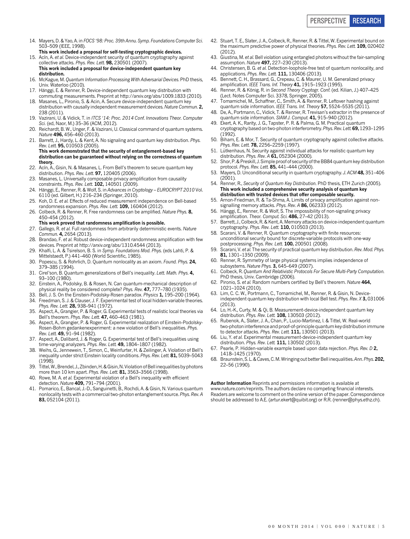PERSPECTIVE RESEARCH

- 14. Mayers, D. & Yao, A. in FOCS '98: Proc. 39th Annu. Symp. Foundations Computer Sci. 503–509 (IEEE, 1998).
- This work included a proposal for self-testing cryptographic devices. 15. Acín, A. et al. Device-independent security of quantum cryptography against collective attacks. Phys. Rev. Lett. 98, 230501 (2007). This work included a proposal for device-independent quantum key
- distribution. 16. McKague, M. Quantum Information Processing With Adversarial Devices. PhD thesis, Univ. Waterloo (2010).
- 17. Hänggi, E. & Renner, R. Device-independent quantum key distribution with commuting measurements. Preprint at<http://arxiv.org/abs/1009.1833> (2010).
- 18. Masanes, L., Pironio, S. & Acin, A. Secure device-independent quantum key distribution with causally independent measurement devices. Nature Commun. 2, 238 (2011).
- 19. Vazirani, U. & Vidick, T. in ITCS '14: Proc. 2014 Conf. Innovations Theor. Computer Sci. (ed, Naor, M.) 35–36 (ACM, 2012).
- 20. Reichardt, B. W., Unger, F. & Vazirani, U. Classical command of quantum systems. Nature 496, 456–460 (2013).
- 21. Barrett, J., Hardy, L. & Kent, A. No signaling and quantum key distribution. Phys. Rev. Lett. 95, 010503 (2005).
- This work demonstrated that the security of entanglement-based key distribution can be guaranteed without relying on the correctness of quantum theory.
- 22. Acín, A., Gisin, N. & Masanes, L. From Bell's theorem to secure quantum key distribution. Phys. Rev. Lett. 97, 120405 (2006).
- 23. Masanes, L. Universally composable privacy amplification from causality constraints. Phys. Rev. Lett. 102, 140501 (2009).
- 24. Hänggi, E., Renner, R. & Wolf, S. in Advances in Cryptology EUROCRYPT 2010 Vol. 6110 (ed. Gilbert, H.) 216–234 (Springer, 2010).
- 25. Koh, D. E. et al. Effects of reduced measurement independence on Bell-based randomness expansion. Phys. Rev. Lett. 109, 160404 (2012).
- 26. Colbeck, R. & Renner, R. Free randomness can be amplified. Nature Phys. 8, 450–454 (2012).
- This work proved that randomness amplification is possible. 27. Gallego, R. et al. Full randomness from arbitrarily deterministic events. Nature Commun. 4, 2654 (2013).
- 28. Brandao, F. et al. Robust device-independent randomness amplification with few devices. Preprint at<http://arxiv.org/abs/1310.4544> (2013).
- 29. Khalfi, L. A. & Tsirelson, B. S. in Symp. Foundations Mod. Phys. (eds Lahti, P. & Mittelstaedt, P.) 441–460 (World Scientific, 1985).
- 30. Popescu, S. & Rohrlich, D. Quantum nonlocality as an axiom. Found. Phys. 24, 379–385 (1994).
- 31. Cirel'son, B. Quantum generalizations of Bell's inequality. Lett. Math. Phys. 4, 93–100 (1980).
- 32. Einstein, A., Podolsky, B. & Rosen, N. Can quantum-mechanical description of physical reality be considered complete? Phys. Rev. 47, 777-780 (1935).
- 33. Bell, J. S. On the Einstein-Podolsky-Rosen paradox. Physics 1, 195–200 (1964).<br>34. Freedman, S. J. & Clauser, J. F. Experimental test of local hidden-variable theorie Freedman, S. J. & Clauser, J. F. Experimental test of local hidden-variable theories.
- Phys. Rev. Lett. 28, 938-941 (1972). 35. Aspect, A., Grangier, P. & Roger, G. Experimental tests of realistic local theories via Bell's theorem. Phys. Rev. Lett. 47, 460–463 (1981).
- 36. Aspect, A., Grangier, P. & Roger, G. Experimental realization of Einstein-Podolsky-Rosen-Bohm gedankenexperiment: a new violation of Bell's inequalities. Phys. Rev. Lett. 49, 91–94 (1982).
- 37. Aspect, A., Dalibard, J. & Roger, G. Experimental test of Bell's inequalities using time-varying analyzers. Phys. Rev. Lett. 49, 1804-1807 (1982).
- 38. Weihs, G., Jennewein, T., Simon, C., Weinfurter, H. & Zeilinger, A. Violation of Bell's inequality under strict Einstein locality conditions. Phys. Rev. Lett. 81, 5039–5043 (1998).
- 39. Tittel,W., Brendel, J., Zbinden, H. & Gisin, N. Violation of Bell inequalities by photons more than 10 km apart. Phys. Rev. Lett. 81, 3563–3566 (1998).
- 40. Rowe, M. A. et al. Experimental violation of a Bell's inequality with efficient detection. Nature 409, 791–794 (2001).
- 41. Pomarico, E., Bancal, J.-D., Sanguinetti, B., Rochdi, A. & Gisin, N. Various quantum nonlocality tests with a commercial two-photon entanglement source. Phys. Rev. A 83, 052104 (2011).
- 42. Stuart, T. E., Slater, J. A., Colbeck, R., Renner, R. & Tittel, W. Experimental bound on the maximum predictive power of physical theories. Phys. Rev. Lett. 109, 020402 (2012).
- 43. Giustina, M. et al. Bell violation using entangled photons without the fair-sampling assumption. Nature 497, 227–230 (2013).
- 44. Christensen, B. G. et al. Detection-loophole-free test of quantum nonlocality, and applications. Phys. Rev. Lett. **111**, 130406 (2013).
- 45. Bennett, C. H., Brassard, G., Crepeau, C. & Maurer, U. M. Generalized privacy amplification. IEEE Trans. Inf. Theory 41, 1915-1923 (1995).
- 46. Renner, R. & König, R. in Second Theory Cryptogr. Conf. (ed. Kilian, J.) 407-425 (Lect. Notes Computer Sci. 3378, Springer, 2005).
- 47. Tomamichel, M., Schaffner, C., Smith, A. & Renner, R. Leftover hashing against quantum side information. IEEE Trans. Inf. Theory 57, 5524-5535 (2011).
- 48. De, A., Portmann, C., Vidick, T. & Renner, R. Trevisan's extractor in the presence of quantum side information. SIAM J. Comput. 41, 915-940 (2012).
- 49. Ekert, A. K., Rarity, J. G., Tapster, P. R. & Palma, G. M. Practical quantum cryptography based on two-photon interferometry. Phys. Rev. Lett. 69, 1293-1295  $(1992)$
- 50. Biham, E. & Mor, T. Security of quantum cryptography against collective attacks. Phys. Rev. Lett. 78, 2256-2259 (1997).
- 51. Lütkenhaus, N. Security against individual attacks for realistic quantum key distribution. Phys. Rev. A 61, 052304 (2000).
- 52. Shor, P. & Preskill, J. Simple proof of security of the BB84 quantum key distribution protocol. Phys. Rev. Lett. 85, 441–444 (2000).
- 53. Mayers, D. Unconditional security in quantum cryptography. J. ACM 48, 351–406  $(2001)$ .
- 54. Renner, R., Security of Quantum Key Distribution. PhD thesis, ETH Zurich (2005). This work included a comprehensive security analysis of quantum key distribution with trusted devices that offer composable security.
- 55. Arnon-Friedman, R. & Ta-Shma, A. Limits of privacy amplification against non-
- signalling memory attacks. Phys. Rev. A 86, 062333 (2012).<br>56. Hänggi, E., Renner, R. & Wolf, S. The impossibility of non-signaling privacy amplification. Theor. Comput. Sci. 486, 27-42 (2013).
- 57. Barrett, J., Colbeck, R. & Kent, A. Memory attacks on device-independent quantum cryptography. Phys. Rev. Lett. 110, 010503 (2013).
- 58. Scarani, V. & Renner, R. Quantum cryptography with finite resources: unconditional security bound for discrete-variable protocols with one-way postprocessing. Phys. Rev. Lett. 100, 200501 (2008).
- Scarani, V. et al. The security of practical quantum key distribution. Rev. Mod. Phys. 81, 1301–1350 (2009).
- 60. Renner, R. Symmetry of large physical systems implies independence of subsystems. Nature Phys. 3, 645-649 (2007).
- 61. Colbeck, R. Quantum And Relativistic Protocols For Secure Multi-Party Computation. PhD thesis, Univ. Cambridge (2006).
- 62. Pironio, S. et al. Random numbers certified by Bell's theorem. Nature 464, 1021–1024 (2010).
- 63. Lim, C. C. W., Portmann, C., Tomamichel, M., Renner, R. & Gisin, N. Deviceindependent quantum key distribution with local Bell test. Phys. Rev. X 3, 031006  $(2013)$
- 64. Lo, H.-K., Curty, M. & Qi, B. Measurement-device-independent quantum key distribution. Phys. Rev. Lett. **108**, 130503 (2012).
- 65. Rubenok, A., Slater, J. A., Chan, P., Lucio-Martinez, I. & Tittel, W. Real-world two-photon interference and proof-of-principle quantum key distribution immune to detector attacks. Phys. Rev. Lett. 111, 130501 (2013).
- 66. Liu, Y. et al. Experimental measurement-device-independent quantum key distribution. Phys. Rev. Lett. 111, 130502 (2013).
- 67. Pearle, P. Hidden-variable example based upon data rejection. Phys. Rev. D 2, 1418–1425 (1970).
- 68. Braunstein, S. L. & Caves, C.M.Wringing out better Bell inequalities.Ann. Phys.202, 22–56 (1990).

Author Information Reprints and permissions information is available at [www.nature.com/reprints.](www.nature.com/reprints) The authors declare no competing financial interests. Readers are welcome to comment on the [online version of the paper](www.nature.com/doifinder/10.1038/nature13132). Correspondence should be addressed to A.E. [\(artur.ekert@quibit.org](mailto:artur.ekert@quibit.org)) or R.R. ([renner@phys.ethz.ch](mailto:renner@phys.ethz.ch)).